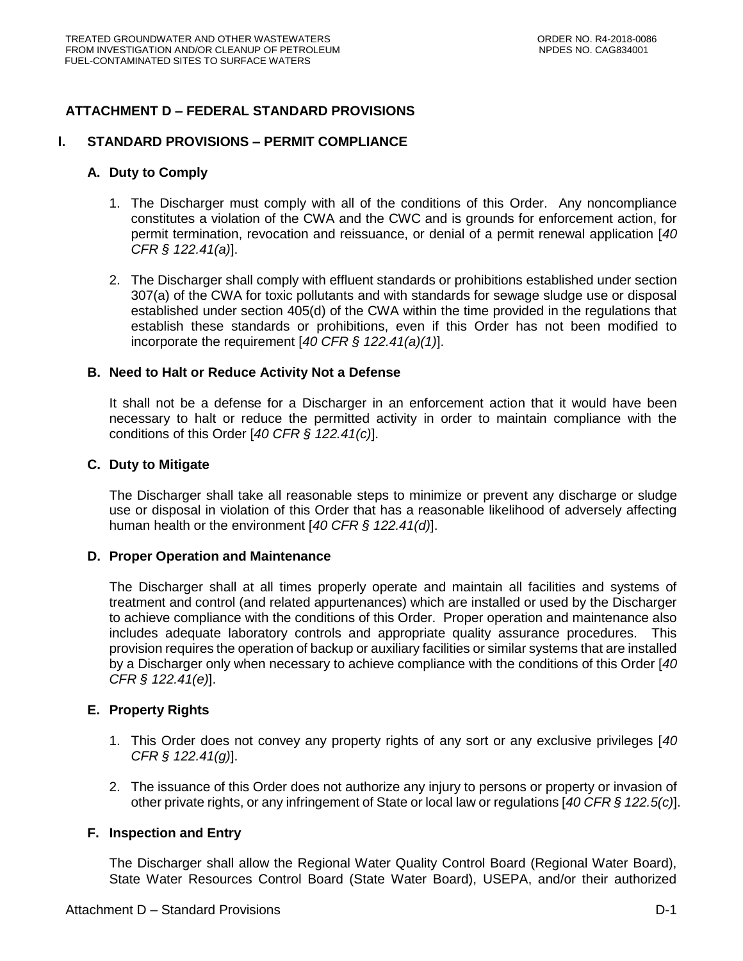# **ATTACHMENT D – FEDERAL STANDARD PROVISIONS**

### **I. STANDARD PROVISIONS – PERMIT COMPLIANCE**

#### **A. Duty to Comply**

- 1. The Discharger must comply with all of the conditions of this Order. Any noncompliance constitutes a violation of the CWA and the CWC and is grounds for enforcement action, for permit termination, revocation and reissuance, or denial of a permit renewal application [*40 CFR § 122.41(a)*].
- 2. The Discharger shall comply with effluent standards or prohibitions established under section 307(a) of the CWA for toxic pollutants and with standards for sewage sludge use or disposal established under section 405(d) of the CWA within the time provided in the regulations that establish these standards or prohibitions, even if this Order has not been modified to incorporate the requirement [*40 CFR § 122.41(a)(1)*].

#### **B. Need to Halt or Reduce Activity Not a Defense**

It shall not be a defense for a Discharger in an enforcement action that it would have been necessary to halt or reduce the permitted activity in order to maintain compliance with the conditions of this Order [*40 CFR § 122.41(c)*].

#### **C. Duty to Mitigate**

The Discharger shall take all reasonable steps to minimize or prevent any discharge or sludge use or disposal in violation of this Order that has a reasonable likelihood of adversely affecting human health or the environment [*40 CFR § 122.41(d)*].

### **D. Proper Operation and Maintenance**

The Discharger shall at all times properly operate and maintain all facilities and systems of treatment and control (and related appurtenances) which are installed or used by the Discharger to achieve compliance with the conditions of this Order. Proper operation and maintenance also includes adequate laboratory controls and appropriate quality assurance procedures. This provision requires the operation of backup or auxiliary facilities or similar systems that are installed by a Discharger only when necessary to achieve compliance with the conditions of this Order [*40 CFR § 122.41(e)*].

### **E. Property Rights**

- 1. This Order does not convey any property rights of any sort or any exclusive privileges [*40 CFR § 122.41(g)*].
- 2. The issuance of this Order does not authorize any injury to persons or property or invasion of other private rights, or any infringement of State or local law or regulations [*40 CFR § 122.5(c)*].

### **F. Inspection and Entry**

The Discharger shall allow the Regional Water Quality Control Board (Regional Water Board), State Water Resources Control Board (State Water Board), USEPA, and/or their authorized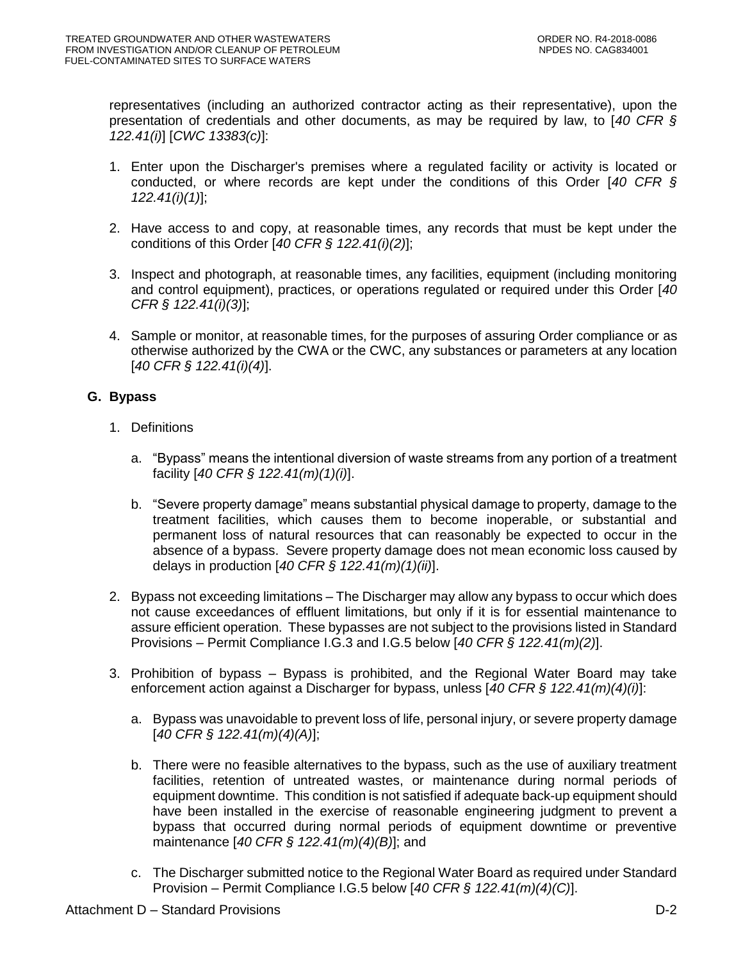representatives (including an authorized contractor acting as their representative), upon the presentation of credentials and other documents, as may be required by law, to [*40 CFR § 122.41(i)*] [*CWC 13383(c)*]:

- 1. Enter upon the Discharger's premises where a regulated facility or activity is located or conducted, or where records are kept under the conditions of this Order [*40 CFR § 122.41(i)(1)*];
- 2. Have access to and copy, at reasonable times, any records that must be kept under the conditions of this Order [*40 CFR § 122.41(i)(2)*];
- 3. Inspect and photograph, at reasonable times, any facilities, equipment (including monitoring and control equipment), practices, or operations regulated or required under this Order [*40 CFR § 122.41(i)(3)*];
- 4. Sample or monitor, at reasonable times, for the purposes of assuring Order compliance or as otherwise authorized by the CWA or the CWC, any substances or parameters at any location [*40 CFR § 122.41(i)(4)*].

## **G. Bypass**

- 1. Definitions
	- a. "Bypass" means the intentional diversion of waste streams from any portion of a treatment facility [*40 CFR § 122.41(m)(1)(i)*].
	- b. "Severe property damage" means substantial physical damage to property, damage to the treatment facilities, which causes them to become inoperable, or substantial and permanent loss of natural resources that can reasonably be expected to occur in the absence of a bypass. Severe property damage does not mean economic loss caused by delays in production [*40 CFR § 122.41(m)(1)(ii)*].
- 2. Bypass not exceeding limitations The Discharger may allow any bypass to occur which does not cause exceedances of effluent limitations, but only if it is for essential maintenance to assure efficient operation. These bypasses are not subject to the provisions listed in Standard Provisions – Permit Compliance I.G.3 and I.G.5 below [*40 CFR § 122.41(m)(2)*].
- 3. Prohibition of bypass Bypass is prohibited, and the Regional Water Board may take enforcement action against a Discharger for bypass, unless [*40 CFR § 122.41(m)(4)(i)*]:
	- a. Bypass was unavoidable to prevent loss of life, personal injury, or severe property damage [*40 CFR § 122.41(m)(4)(A)*];
	- b. There were no feasible alternatives to the bypass, such as the use of auxiliary treatment facilities, retention of untreated wastes, or maintenance during normal periods of equipment downtime. This condition is not satisfied if adequate back-up equipment should have been installed in the exercise of reasonable engineering judgment to prevent a bypass that occurred during normal periods of equipment downtime or preventive maintenance [*40 CFR § 122.41(m)(4)(B)*]; and
	- c. The Discharger submitted notice to the Regional Water Board as required under Standard Provision – Permit Compliance I.G.5 below [*40 CFR § 122.41(m)(4)(C)*].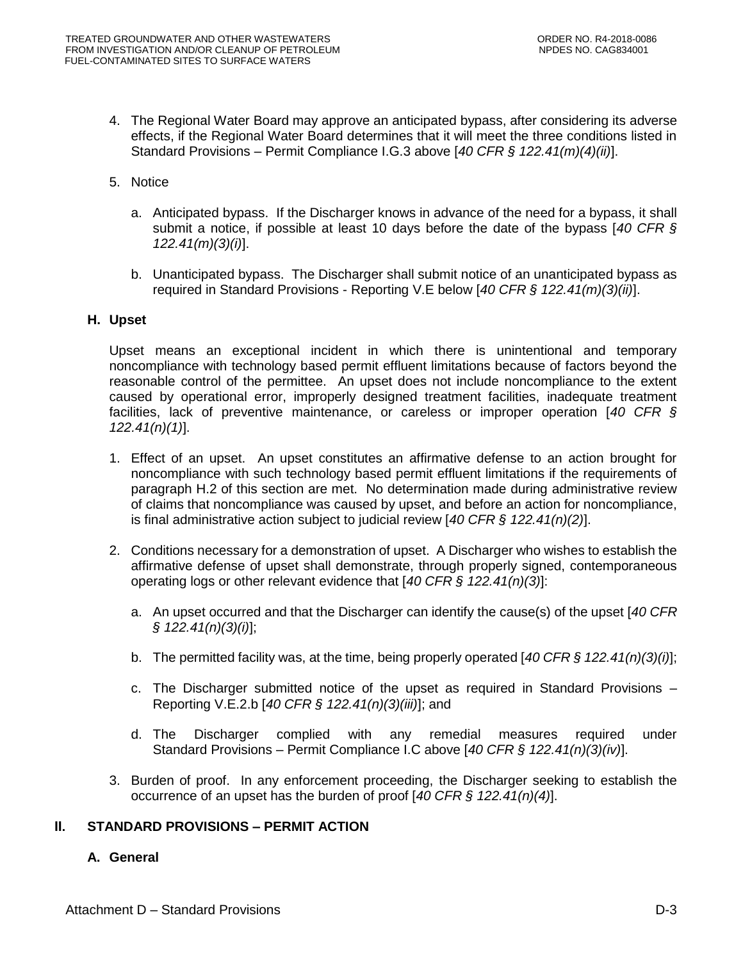- 4. The Regional Water Board may approve an anticipated bypass, after considering its adverse effects, if the Regional Water Board determines that it will meet the three conditions listed in Standard Provisions – Permit Compliance I.G.3 above [*40 CFR § 122.41(m)(4)(ii)*].
- 5. Notice
	- a. Anticipated bypass. If the Discharger knows in advance of the need for a bypass, it shall submit a notice, if possible at least 10 days before the date of the bypass [*40 CFR § 122.41(m)(3)(i)*].
	- b. Unanticipated bypass. The Discharger shall submit notice of an unanticipated bypass as required in Standard Provisions - Reporting V.E below [*40 CFR § 122.41(m)(3)(ii)*].

### **H. Upset**

Upset means an exceptional incident in which there is unintentional and temporary noncompliance with technology based permit effluent limitations because of factors beyond the reasonable control of the permittee. An upset does not include noncompliance to the extent caused by operational error, improperly designed treatment facilities, inadequate treatment facilities, lack of preventive maintenance, or careless or improper operation [*40 CFR § 122.41(n)(1)*].

- 1. Effect of an upset. An upset constitutes an affirmative defense to an action brought for noncompliance with such technology based permit effluent limitations if the requirements of paragraph H.2 of this section are met. No determination made during administrative review of claims that noncompliance was caused by upset, and before an action for noncompliance, is final administrative action subject to judicial review [*40 CFR § 122.41(n)(2)*].
- 2. Conditions necessary for a demonstration of upset. A Discharger who wishes to establish the affirmative defense of upset shall demonstrate, through properly signed, contemporaneous operating logs or other relevant evidence that [*40 CFR § 122.41(n)(3)*]:
	- a. An upset occurred and that the Discharger can identify the cause(s) of the upset [*40 CFR § 122.41(n)(3)(i)*];
	- b. The permitted facility was, at the time, being properly operated [*40 CFR § 122.41(n)(3)(i)*];
	- c. The Discharger submitted notice of the upset as required in Standard Provisions Reporting V.E.2.b [*40 CFR § 122.41(n)(3)(iii)*]; and
	- d. The Discharger complied with any remedial measures required under Standard Provisions – Permit Compliance I.C above [*40 CFR § 122.41(n)(3)(iv)*].
- 3. Burden of proof. In any enforcement proceeding, the Discharger seeking to establish the occurrence of an upset has the burden of proof [*40 CFR § 122.41(n)(4)*].

## **II. STANDARD PROVISIONS – PERMIT ACTION**

## **A. General**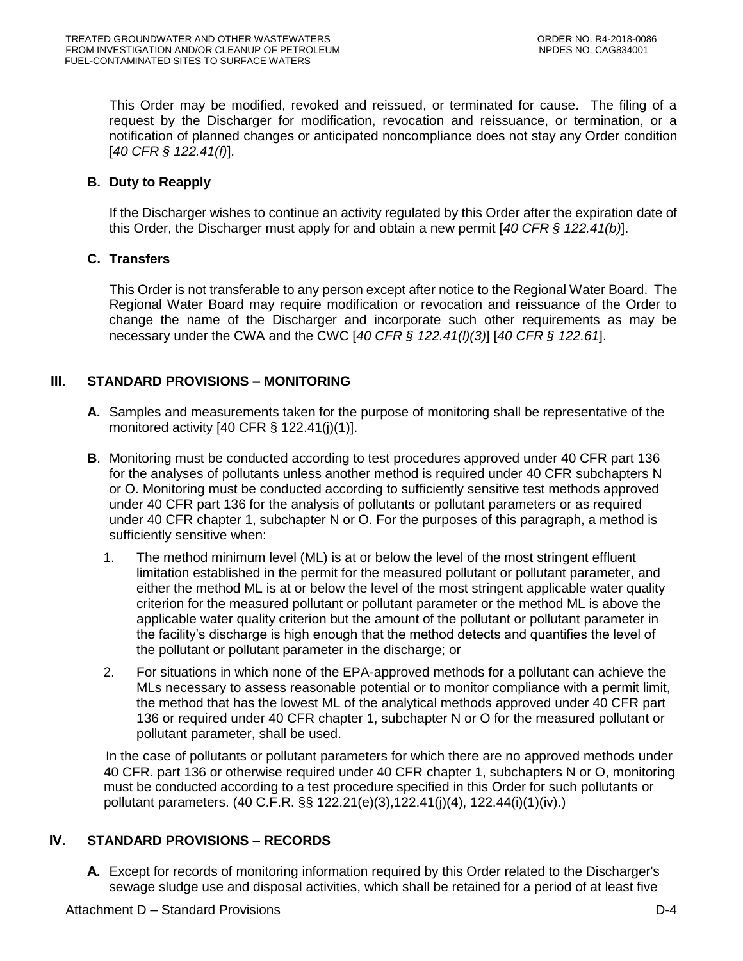This Order may be modified, revoked and reissued, or terminated for cause. The filing of a request by the Discharger for modification, revocation and reissuance, or termination, or a notification of planned changes or anticipated noncompliance does not stay any Order condition [*40 CFR § 122.41(f)*].

### **B. Duty to Reapply**

If the Discharger wishes to continue an activity regulated by this Order after the expiration date of this Order, the Discharger must apply for and obtain a new permit [*40 CFR § 122.41(b)*].

### **C. Transfers**

This Order is not transferable to any person except after notice to the Regional Water Board. The Regional Water Board may require modification or revocation and reissuance of the Order to change the name of the Discharger and incorporate such other requirements as may be necessary under the CWA and the CWC [*40 CFR § 122.41(l)(3)*] [*40 CFR § 122.61*].

## **III. STANDARD PROVISIONS – MONITORING**

- **A.** Samples and measurements taken for the purpose of monitoring shall be representative of the monitored activity  $[40 \text{ CFR } \S 122.41(i)(1)].$
- **B**. Monitoring must be conducted according to test procedures approved under 40 CFR part 136 for the analyses of pollutants unless another method is required under 40 CFR subchapters N or O. Monitoring must be conducted according to sufficiently sensitive test methods approved under 40 CFR part 136 for the analysis of pollutants or pollutant parameters or as required under 40 CFR chapter 1, subchapter N or O. For the purposes of this paragraph, a method is sufficiently sensitive when:
	- 1. The method minimum level (ML) is at or below the level of the most stringent effluent limitation established in the permit for the measured pollutant or pollutant parameter, and either the method ML is at or below the level of the most stringent applicable water quality criterion for the measured pollutant or pollutant parameter or the method ML is above the applicable water quality criterion but the amount of the pollutant or pollutant parameter in the facility's discharge is high enough that the method detects and quantifies the level of the pollutant or pollutant parameter in the discharge; or
	- 2. For situations in which none of the EPA-approved methods for a pollutant can achieve the MLs necessary to assess reasonable potential or to monitor compliance with a permit limit, the method that has the lowest ML of the analytical methods approved under 40 CFR part 136 or required under 40 CFR chapter 1, subchapter N or O for the measured pollutant or pollutant parameter, shall be used.

 In the case of pollutants or pollutant parameters for which there are no approved methods under 40 CFR. part 136 or otherwise required under 40 CFR chapter 1, subchapters N or O, monitoring must be conducted according to a test procedure specified in this Order for such pollutants or pollutant parameters. (40 C.F.R. §§ 122.21(e)(3),122.41(j)(4), 122.44(i)(1)(iv).)

## **IV. STANDARD PROVISIONS – RECORDS**

**A.** Except for records of monitoring information required by this Order related to the Discharger's sewage sludge use and disposal activities, which shall be retained for a period of at least five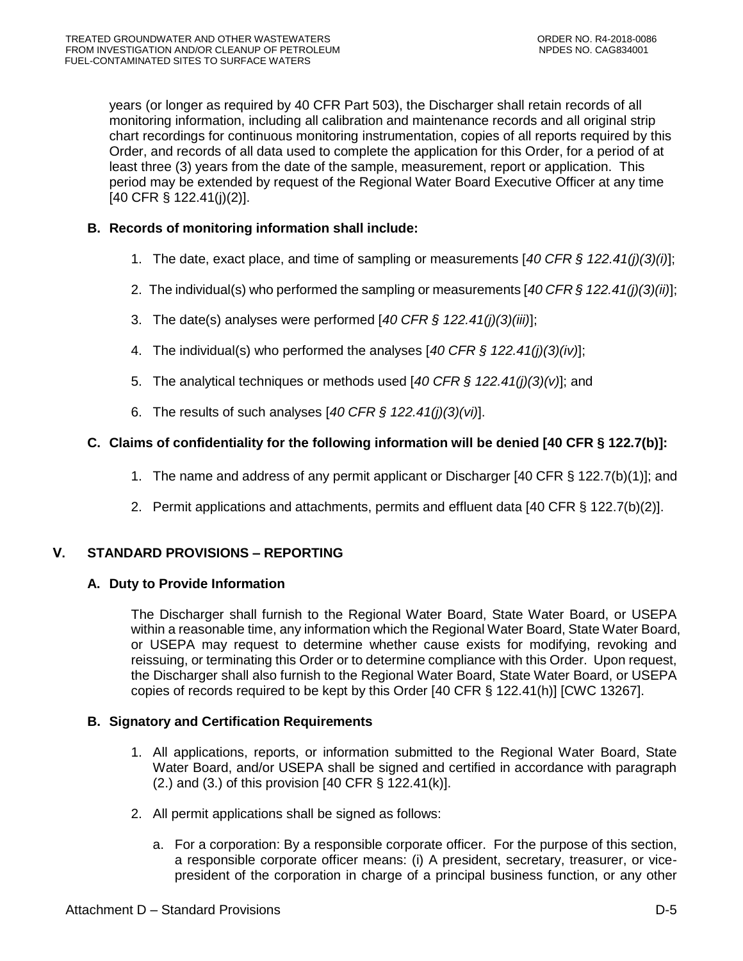years (or longer as required by 40 CFR Part 503), the Discharger shall retain records of all monitoring information, including all calibration and maintenance records and all original strip chart recordings for continuous monitoring instrumentation, copies of all reports required by this Order, and records of all data used to complete the application for this Order, for a period of at least three (3) years from the date of the sample, measurement, report or application. This period may be extended by request of the Regional Water Board Executive Officer at any time [40 CFR § 122.41(j)(2)].

## **B. Records of monitoring information shall include:**

- 1. The date, exact place, and time of sampling or measurements [*40 CFR § 122.41(j)(3)(i)*];
- 2. The individual(s) who performed the sampling or measurements [*40 CFR § 122.41(j)(3)(ii)*];
- 3. The date(s) analyses were performed [*40 CFR § 122.41(j)(3)(iii)*];
- 4. The individual(s) who performed the analyses [*40 CFR § 122.41(j)(3)(iv)*];
- 5. The analytical techniques or methods used [*40 CFR § 122.41(j)(3)(v)*]; and
- 6. The results of such analyses [*40 CFR § 122.41(j)(3)(vi)*].

## **C. Claims of confidentiality for the following information will be denied [40 CFR § 122.7(b)]:**

- 1. The name and address of any permit applicant or Discharger [40 CFR § 122.7(b)(1)]; and
- 2. Permit applications and attachments, permits and effluent data [40 CFR § 122.7(b)(2)].

# **V. STANDARD PROVISIONS – REPORTING**

## **A. Duty to Provide Information**

The Discharger shall furnish to the Regional Water Board, State Water Board, or USEPA within a reasonable time, any information which the Regional Water Board, State Water Board, or USEPA may request to determine whether cause exists for modifying, revoking and reissuing, or terminating this Order or to determine compliance with this Order. Upon request, the Discharger shall also furnish to the Regional Water Board, State Water Board, or USEPA copies of records required to be kept by this Order [40 CFR § 122.41(h)] [CWC 13267].

## **B. Signatory and Certification Requirements**

- 1. All applications, reports, or information submitted to the Regional Water Board, State Water Board, and/or USEPA shall be signed and certified in accordance with paragraph (2.) and (3.) of this provision  $[40 \text{ CFR } \S 122.41(k)]$ .
- 2. All permit applications shall be signed as follows:
	- a. For a corporation: By a responsible corporate officer. For the purpose of this section, a responsible corporate officer means: (i) A president, secretary, treasurer, or vicepresident of the corporation in charge of a principal business function, or any other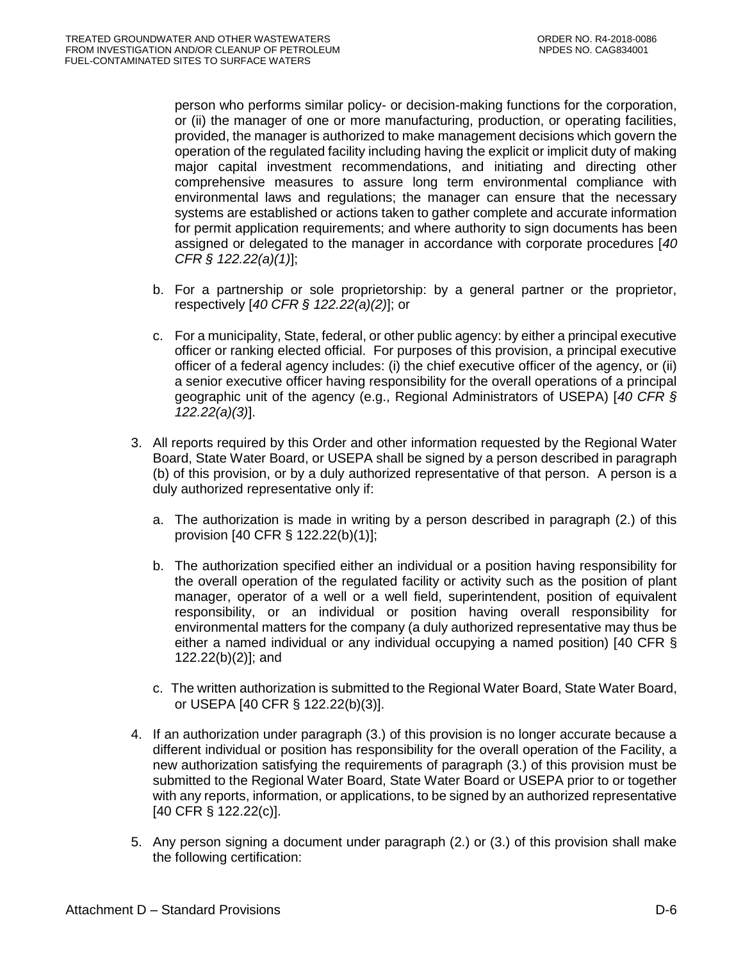person who performs similar policy- or decision-making functions for the corporation, or (ii) the manager of one or more manufacturing, production, or operating facilities, provided, the manager is authorized to make management decisions which govern the operation of the regulated facility including having the explicit or implicit duty of making major capital investment recommendations, and initiating and directing other comprehensive measures to assure long term environmental compliance with environmental laws and regulations; the manager can ensure that the necessary systems are established or actions taken to gather complete and accurate information for permit application requirements; and where authority to sign documents has been assigned or delegated to the manager in accordance with corporate procedures [*40 CFR § 122.22(a)(1)*];

- b. For a partnership or sole proprietorship: by a general partner or the proprietor, respectively [*40 CFR § 122.22(a)(2)*]; or
- c. For a municipality, State, federal, or other public agency: by either a principal executive officer or ranking elected official. For purposes of this provision, a principal executive officer of a federal agency includes: (i) the chief executive officer of the agency, or (ii) a senior executive officer having responsibility for the overall operations of a principal geographic unit of the agency (e.g., Regional Administrators of USEPA) [*40 CFR § 122.22(a)(3)*].
- 3. All reports required by this Order and other information requested by the Regional Water Board, State Water Board, or USEPA shall be signed by a person described in paragraph (b) of this provision, or by a duly authorized representative of that person. A person is a duly authorized representative only if:
	- a. The authorization is made in writing by a person described in paragraph (2.) of this provision [40 CFR § 122.22(b)(1)];
	- b. The authorization specified either an individual or a position having responsibility for the overall operation of the regulated facility or activity such as the position of plant manager, operator of a well or a well field, superintendent, position of equivalent responsibility, or an individual or position having overall responsibility for environmental matters for the company (a duly authorized representative may thus be either a named individual or any individual occupying a named position) [40 CFR § 122.22(b)(2)]; and
	- c. The written authorization is submitted to the Regional Water Board, State Water Board, or USEPA [40 CFR § 122.22(b)(3)].
- 4. If an authorization under paragraph (3.) of this provision is no longer accurate because a different individual or position has responsibility for the overall operation of the Facility, a new authorization satisfying the requirements of paragraph (3.) of this provision must be submitted to the Regional Water Board, State Water Board or USEPA prior to or together with any reports, information, or applications, to be signed by an authorized representative [40 CFR § 122.22(c)].
- 5. Any person signing a document under paragraph (2.) or (3.) of this provision shall make the following certification: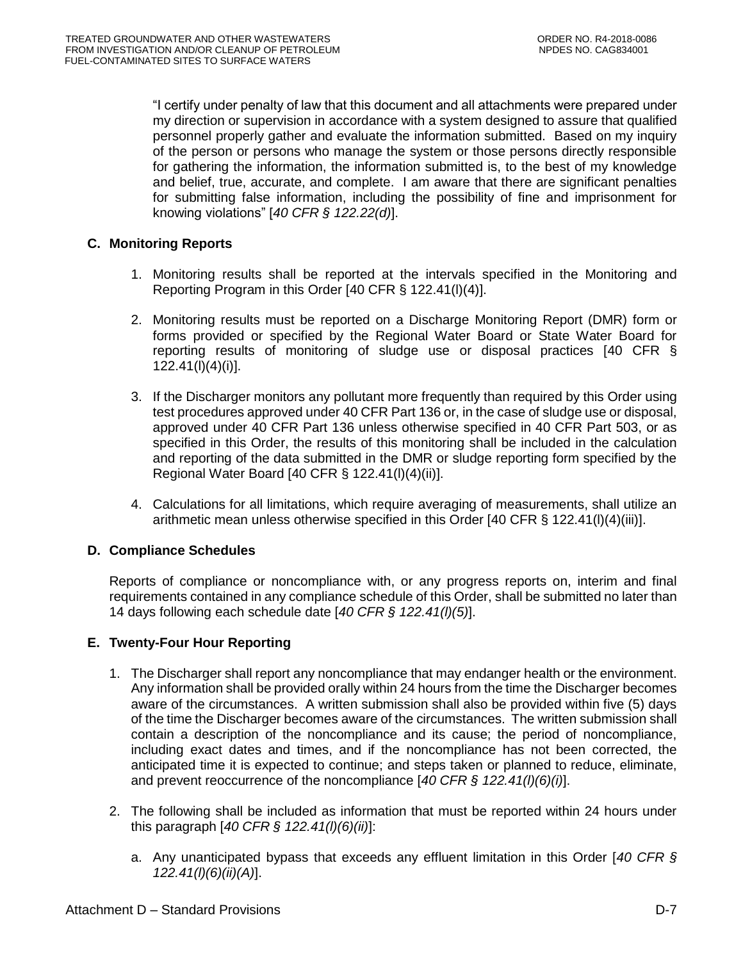"I certify under penalty of law that this document and all attachments were prepared under my direction or supervision in accordance with a system designed to assure that qualified personnel properly gather and evaluate the information submitted. Based on my inquiry of the person or persons who manage the system or those persons directly responsible for gathering the information, the information submitted is, to the best of my knowledge and belief, true, accurate, and complete. I am aware that there are significant penalties for submitting false information, including the possibility of fine and imprisonment for knowing violations" [*40 CFR § 122.22(d)*].

## **C. Monitoring Reports**

- 1. Monitoring results shall be reported at the intervals specified in the Monitoring and Reporting Program in this Order [40 CFR § 122.41(l)(4)].
- 2. Monitoring results must be reported on a Discharge Monitoring Report (DMR) form or forms provided or specified by the Regional Water Board or State Water Board for reporting results of monitoring of sludge use or disposal practices [40 CFR § 122.41(l)(4)(i)].
- 3. If the Discharger monitors any pollutant more frequently than required by this Order using test procedures approved under 40 CFR Part 136 or, in the case of sludge use or disposal, approved under 40 CFR Part 136 unless otherwise specified in 40 CFR Part 503, or as specified in this Order, the results of this monitoring shall be included in the calculation and reporting of the data submitted in the DMR or sludge reporting form specified by the Regional Water Board [40 CFR § 122.41(l)(4)(ii)].
- 4. Calculations for all limitations, which require averaging of measurements, shall utilize an arithmetic mean unless otherwise specified in this Order [40 CFR § 122.41(l)(4)(iii)].

## **D. Compliance Schedules**

Reports of compliance or noncompliance with, or any progress reports on, interim and final requirements contained in any compliance schedule of this Order, shall be submitted no later than 14 days following each schedule date [*40 CFR § 122.41(l)(5)*].

## **E. Twenty-Four Hour Reporting**

- 1. The Discharger shall report any noncompliance that may endanger health or the environment. Any information shall be provided orally within 24 hours from the time the Discharger becomes aware of the circumstances. A written submission shall also be provided within five (5) days of the time the Discharger becomes aware of the circumstances. The written submission shall contain a description of the noncompliance and its cause; the period of noncompliance, including exact dates and times, and if the noncompliance has not been corrected, the anticipated time it is expected to continue; and steps taken or planned to reduce, eliminate, and prevent reoccurrence of the noncompliance [*40 CFR § 122.41(l)(6)(i)*].
- 2. The following shall be included as information that must be reported within 24 hours under this paragraph [*40 CFR § 122.41(l)(6)(ii)*]:
	- a. Any unanticipated bypass that exceeds any effluent limitation in this Order [*40 CFR § 122.41(l)(6)(ii)(A)*].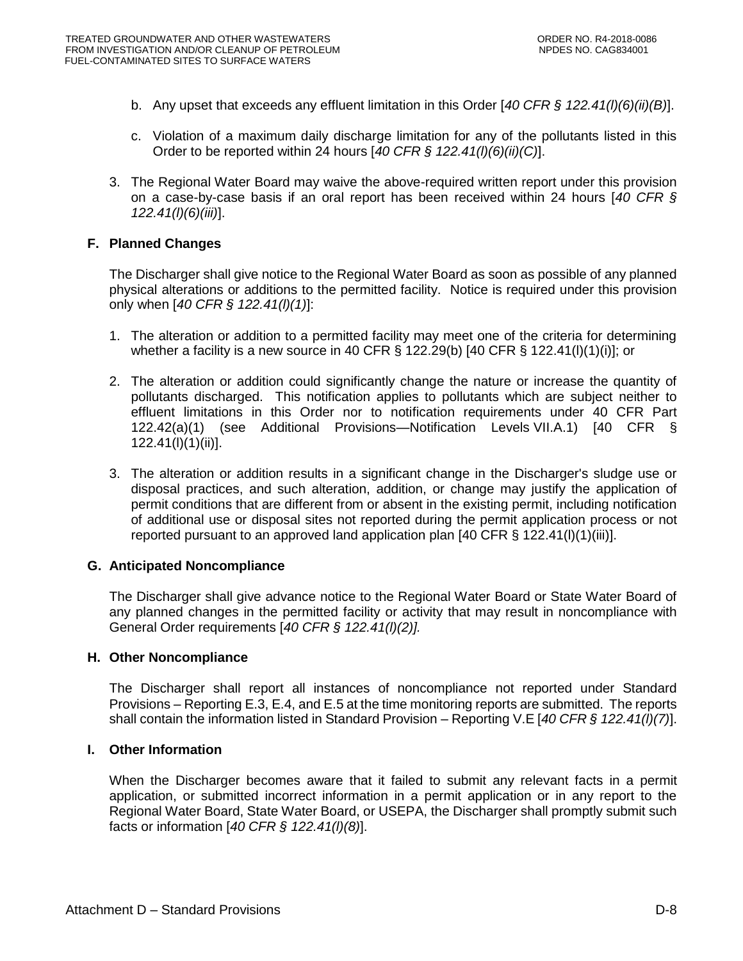- b. Any upset that exceeds any effluent limitation in this Order [*40 CFR § 122.41(l)(6)(ii)(B)*].
- c. Violation of a maximum daily discharge limitation for any of the pollutants listed in this Order to be reported within 24 hours [*40 CFR § 122.41(l)(6)(ii)(C)*].
- 3. The Regional Water Board may waive the above-required written report under this provision on a case-by-case basis if an oral report has been received within 24 hours [*40 CFR § 122.41(l)(6)(iii)*].

### **F. Planned Changes**

The Discharger shall give notice to the Regional Water Board as soon as possible of any planned physical alterations or additions to the permitted facility. Notice is required under this provision only when [*40 CFR § 122.41(l)(1)*]:

- 1. The alteration or addition to a permitted facility may meet one of the criteria for determining whether a facility is a new source in 40 CFR  $\S$  122.29(b) [40 CFR  $\S$  122.41(l)(1)(i)]; or
- 2. The alteration or addition could significantly change the nature or increase the quantity of pollutants discharged. This notification applies to pollutants which are subject neither to effluent limitations in this Order nor to notification requirements under 40 CFR Part 122.42(a)(1) (see Additional Provisions—Notification Levels VII.A.1) [40 CFR § 122.41(l)(1)(ii)].
- 3. The alteration or addition results in a significant change in the Discharger's sludge use or disposal practices, and such alteration, addition, or change may justify the application of permit conditions that are different from or absent in the existing permit, including notification of additional use or disposal sites not reported during the permit application process or not reported pursuant to an approved land application plan  $[40 \text{ CFR } \S 122.41(I)(1)(iii)].$

### **G. Anticipated Noncompliance**

The Discharger shall give advance notice to the Regional Water Board or State Water Board of any planned changes in the permitted facility or activity that may result in noncompliance with General Order requirements [*40 CFR § 122.41(l)(2)].*

### **H. Other Noncompliance**

The Discharger shall report all instances of noncompliance not reported under Standard Provisions – Reporting E.3, E.4, and E.5 at the time monitoring reports are submitted. The reports shall contain the information listed in Standard Provision – Reporting V.E [*40 CFR § 122.41(l)(7)*].

### **I. Other Information**

When the Discharger becomes aware that it failed to submit any relevant facts in a permit application, or submitted incorrect information in a permit application or in any report to the Regional Water Board, State Water Board, or USEPA, the Discharger shall promptly submit such facts or information [*40 CFR § 122.41(l)(8)*].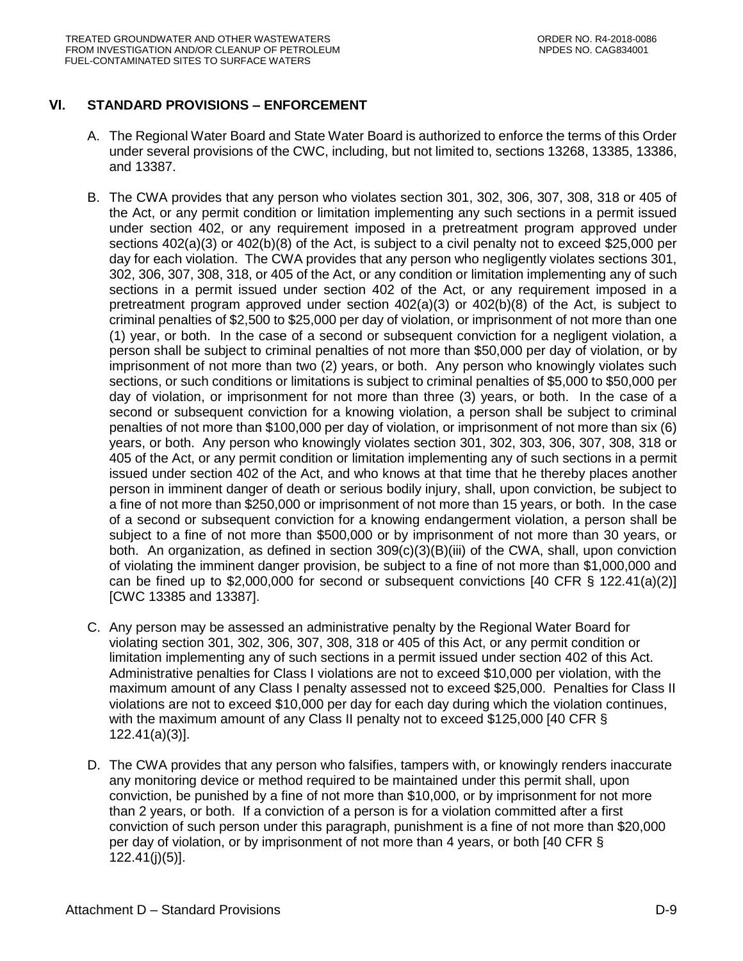# **VI. STANDARD PROVISIONS – ENFORCEMENT**

- A. The Regional Water Board and State Water Board is authorized to enforce the terms of this Order under several provisions of the CWC, including, but not limited to, sections 13268, 13385, 13386, and 13387.
- B. The CWA provides that any person who violates section 301, 302, 306, 307, 308, 318 or 405 of the Act, or any permit condition or limitation implementing any such sections in a permit issued under section 402, or any requirement imposed in a pretreatment program approved under sections 402(a)(3) or 402(b)(8) of the Act, is subject to a civil penalty not to exceed \$25,000 per day for each violation. The CWA provides that any person who negligently violates sections 301, 302, 306, 307, 308, 318, or 405 of the Act, or any condition or limitation implementing any of such sections in a permit issued under section 402 of the Act, or any requirement imposed in a pretreatment program approved under section  $402(a)(3)$  or  $402(b)(8)$  of the Act, is subject to criminal penalties of \$2,500 to \$25,000 per day of violation, or imprisonment of not more than one (1) year, or both. In the case of a second or subsequent conviction for a negligent violation, a person shall be subject to criminal penalties of not more than \$50,000 per day of violation, or by imprisonment of not more than two (2) years, or both. Any person who knowingly violates such sections, or such conditions or limitations is subject to criminal penalties of \$5,000 to \$50,000 per day of violation, or imprisonment for not more than three (3) years, or both. In the case of a second or subsequent conviction for a knowing violation, a person shall be subject to criminal penalties of not more than \$100,000 per day of violation, or imprisonment of not more than six (6) years, or both. Any person who knowingly violates section 301, 302, 303, 306, 307, 308, 318 or 405 of the Act, or any permit condition or limitation implementing any of such sections in a permit issued under section 402 of the Act, and who knows at that time that he thereby places another person in imminent danger of death or serious bodily injury, shall, upon conviction, be subject to a fine of not more than \$250,000 or imprisonment of not more than 15 years, or both. In the case of a second or subsequent conviction for a knowing endangerment violation, a person shall be subject to a fine of not more than \$500,000 or by imprisonment of not more than 30 years, or both. An organization, as defined in section 309(c)(3)(B)(iii) of the CWA, shall, upon conviction of violating the imminent danger provision, be subject to a fine of not more than \$1,000,000 and can be fined up to \$2,000,000 for second or subsequent convictions  $[40 \text{ CFR } \S 122.41(a)(2)]$ [CWC 13385 and 13387].
- C. Any person may be assessed an administrative penalty by the Regional Water Board for violating section 301, 302, 306, 307, 308, 318 or 405 of this Act, or any permit condition or limitation implementing any of such sections in a permit issued under section 402 of this Act. Administrative penalties for Class I violations are not to exceed \$10,000 per violation, with the maximum amount of any Class I penalty assessed not to exceed \$25,000. Penalties for Class II violations are not to exceed \$10,000 per day for each day during which the violation continues, with the maximum amount of any Class II penalty not to exceed \$125,000 [40 CFR § 122.41(a)(3)].
- D. The CWA provides that any person who falsifies, tampers with, or knowingly renders inaccurate any monitoring device or method required to be maintained under this permit shall, upon conviction, be punished by a fine of not more than \$10,000, or by imprisonment for not more than 2 years, or both. If a conviction of a person is for a violation committed after a first conviction of such person under this paragraph, punishment is a fine of not more than \$20,000 per day of violation, or by imprisonment of not more than 4 years, or both [40 CFR § 122.41(j)(5)].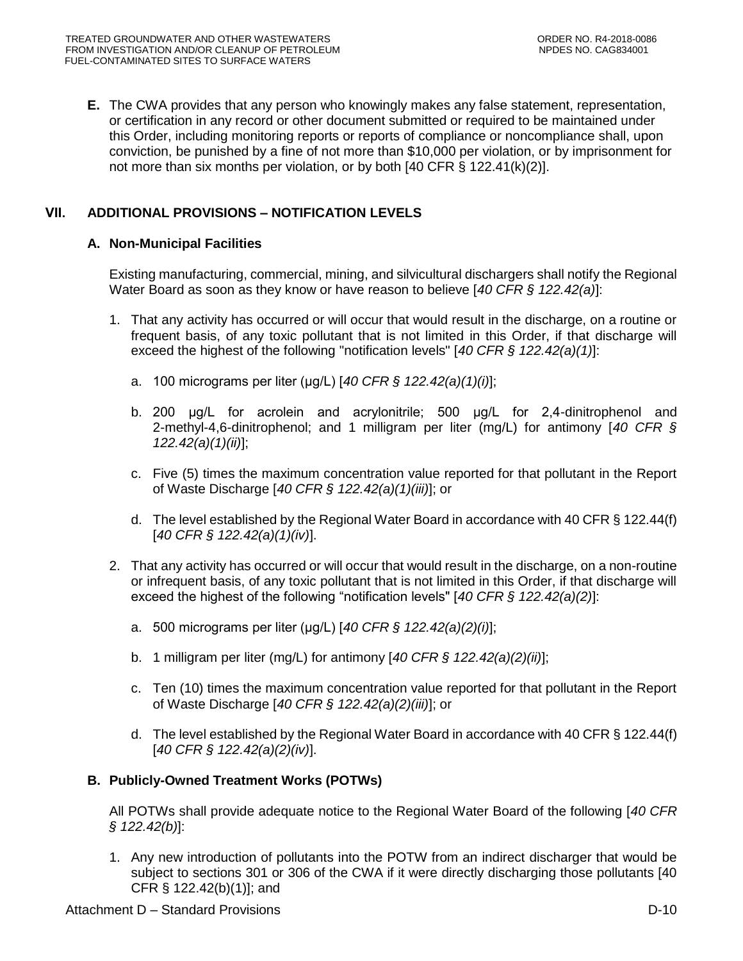**E.** The CWA provides that any person who knowingly makes any false statement, representation, or certification in any record or other document submitted or required to be maintained under this Order, including monitoring reports or reports of compliance or noncompliance shall, upon conviction, be punished by a fine of not more than \$10,000 per violation, or by imprisonment for not more than six months per violation, or by both [40 CFR § 122.41(k)(2)].

# **VII. ADDITIONAL PROVISIONS – NOTIFICATION LEVELS**

## **A. Non-Municipal Facilities**

Existing manufacturing, commercial, mining, and silvicultural dischargers shall notify the Regional Water Board as soon as they know or have reason to believe [*40 CFR § 122.42(a)*]:

- 1. That any activity has occurred or will occur that would result in the discharge, on a routine or frequent basis, of any toxic pollutant that is not limited in this Order, if that discharge will exceed the highest of the following "notification levels" [*40 CFR § 122.42(a)(1)*]:
	- a. 100 micrograms per liter (μg/L) [*40 CFR § 122.42(a)(1)(i)*];
	- b. 200 μg/L for acrolein and acrylonitrile; 500 μg/L for 2,4-dinitrophenol and 2-methyl-4,6-dinitrophenol; and 1 milligram per liter (mg/L) for antimony [*40 CFR § 122.42(a)(1)(ii)*];
	- c. Five (5) times the maximum concentration value reported for that pollutant in the Report of Waste Discharge [*40 CFR § 122.42(a)(1)(iii)*]; or
	- d. The level established by the Regional Water Board in accordance with 40 CFR § 122.44(f) [*40 CFR § 122.42(a)(1)(iv)*].
- 2. That any activity has occurred or will occur that would result in the discharge, on a non-routine or infrequent basis, of any toxic pollutant that is not limited in this Order, if that discharge will exceed the highest of the following "notification levels" [*40 CFR § 122.42(a)(2)*]:
	- a. 500 micrograms per liter (μg/L) [*40 CFR § 122.42(a)(2)(i)*];
	- b. 1 milligram per liter (mg/L) for antimony [*40 CFR § 122.42(a)(2)(ii)*];
	- c. Ten (10) times the maximum concentration value reported for that pollutant in the Report of Waste Discharge [*40 CFR § 122.42(a)(2)(iii)*]; or
	- d. The level established by the Regional Water Board in accordance with 40 CFR § 122.44(f) [*40 CFR § 122.42(a)(2)(iv)*].

# **B. Publicly-Owned Treatment Works (POTWs)**

All POTWs shall provide adequate notice to the Regional Water Board of the following [*40 CFR § 122.42(b)*]:

1. Any new introduction of pollutants into the POTW from an indirect discharger that would be subject to sections 301 or 306 of the CWA if it were directly discharging those pollutants [40 CFR § 122.42(b)(1)]; and